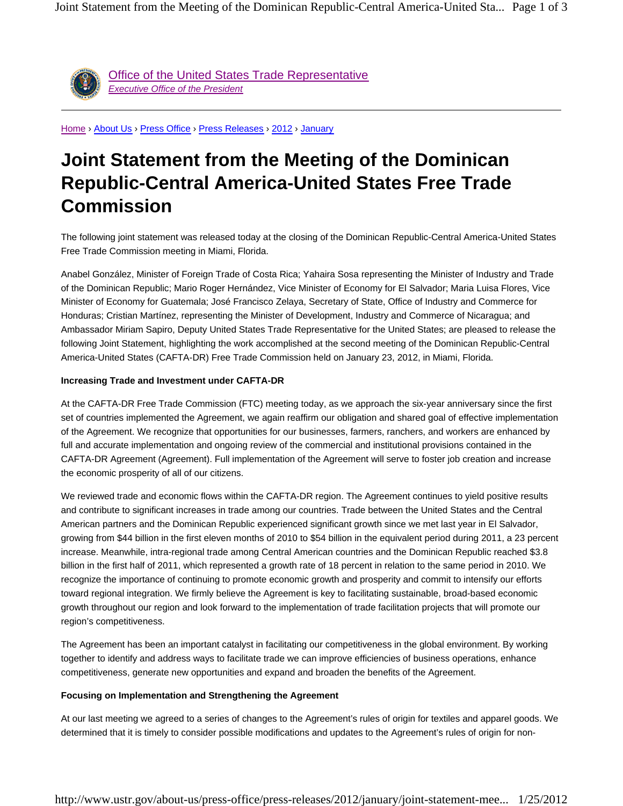

Office of the United States Trade Representative *Executive Office of the President*

Home › About Us › Press Office › Press Releases › 2012 › January

## **Joint Statement from the Meeting of the Dominican Republic-Central America-United States Free Trade Commission**

The following joint statement was released today at the closing of the Dominican Republic-Central America-United States Free Trade Commission meeting in Miami, Florida.

Anabel González, Minister of Foreign Trade of Costa Rica; Yahaira Sosa representing the Minister of Industry and Trade of the Dominican Republic; Mario Roger Hernández, Vice Minister of Economy for El Salvador; Maria Luisa Flores, Vice Minister of Economy for Guatemala; José Francisco Zelaya, Secretary of State, Office of Industry and Commerce for Honduras; Cristian Martínez, representing the Minister of Development, Industry and Commerce of Nicaragua; and Ambassador Miriam Sapiro, Deputy United States Trade Representative for the United States; are pleased to release the following Joint Statement, highlighting the work accomplished at the second meeting of the Dominican Republic-Central America-United States (CAFTA-DR) Free Trade Commission held on January 23, 2012, in Miami, Florida.

## **Increasing Trade and Investment under CAFTA-DR**

At the CAFTA-DR Free Trade Commission (FTC) meeting today, as we approach the six-year anniversary since the first set of countries implemented the Agreement, we again reaffirm our obligation and shared goal of effective implementation of the Agreement. We recognize that opportunities for our businesses, farmers, ranchers, and workers are enhanced by full and accurate implementation and ongoing review of the commercial and institutional provisions contained in the CAFTA-DR Agreement (Agreement). Full implementation of the Agreement will serve to foster job creation and increase the economic prosperity of all of our citizens.

We reviewed trade and economic flows within the CAFTA-DR region. The Agreement continues to yield positive results and contribute to significant increases in trade among our countries. Trade between the United States and the Central American partners and the Dominican Republic experienced significant growth since we met last year in El Salvador, growing from \$44 billion in the first eleven months of 2010 to \$54 billion in the equivalent period during 2011, a 23 percent increase. Meanwhile, intra-regional trade among Central American countries and the Dominican Republic reached \$3.8 billion in the first half of 2011, which represented a growth rate of 18 percent in relation to the same period in 2010. We recognize the importance of continuing to promote economic growth and prosperity and commit to intensify our efforts toward regional integration. We firmly believe the Agreement is key to facilitating sustainable, broad-based economic growth throughout our region and look forward to the implementation of trade facilitation projects that will promote our region's competitiveness.

The Agreement has been an important catalyst in facilitating our competitiveness in the global environment. By working together to identify and address ways to facilitate trade we can improve efficiencies of business operations, enhance competitiveness, generate new opportunities and expand and broaden the benefits of the Agreement.

## **Focusing on Implementation and Strengthening the Agreement**

At our last meeting we agreed to a series of changes to the Agreement's rules of origin for textiles and apparel goods. We determined that it is timely to consider possible modifications and updates to the Agreement's rules of origin for non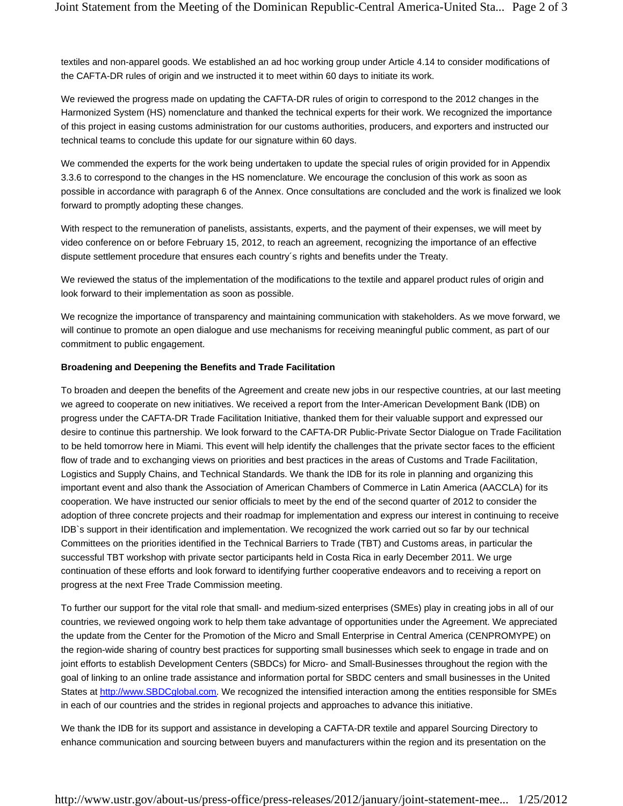textiles and non-apparel goods. We established an ad hoc working group under Article 4.14 to consider modifications of the CAFTA-DR rules of origin and we instructed it to meet within 60 days to initiate its work.

We reviewed the progress made on updating the CAFTA-DR rules of origin to correspond to the 2012 changes in the Harmonized System (HS) nomenclature and thanked the technical experts for their work. We recognized the importance of this project in easing customs administration for our customs authorities, producers, and exporters and instructed our technical teams to conclude this update for our signature within 60 days.

We commended the experts for the work being undertaken to update the special rules of origin provided for in Appendix 3.3.6 to correspond to the changes in the HS nomenclature. We encourage the conclusion of this work as soon as possible in accordance with paragraph 6 of the Annex. Once consultations are concluded and the work is finalized we look forward to promptly adopting these changes.

With respect to the remuneration of panelists, assistants, experts, and the payment of their expenses, we will meet by video conference on or before February 15, 2012, to reach an agreement, recognizing the importance of an effective dispute settlement procedure that ensures each country´s rights and benefits under the Treaty.

We reviewed the status of the implementation of the modifications to the textile and apparel product rules of origin and look forward to their implementation as soon as possible.

We recognize the importance of transparency and maintaining communication with stakeholders. As we move forward, we will continue to promote an open dialogue and use mechanisms for receiving meaningful public comment, as part of our commitment to public engagement.

## **Broadening and Deepening the Benefits and Trade Facilitation**

To broaden and deepen the benefits of the Agreement and create new jobs in our respective countries, at our last meeting we agreed to cooperate on new initiatives. We received a report from the Inter-American Development Bank (IDB) on progress under the CAFTA-DR Trade Facilitation Initiative, thanked them for their valuable support and expressed our desire to continue this partnership. We look forward to the CAFTA-DR Public-Private Sector Dialogue on Trade Facilitation to be held tomorrow here in Miami. This event will help identify the challenges that the private sector faces to the efficient flow of trade and to exchanging views on priorities and best practices in the areas of Customs and Trade Facilitation, Logistics and Supply Chains, and Technical Standards. We thank the IDB for its role in planning and organizing this important event and also thank the Association of American Chambers of Commerce in Latin America (AACCLA) for its cooperation. We have instructed our senior officials to meet by the end of the second quarter of 2012 to consider the adoption of three concrete projects and their roadmap for implementation and express our interest in continuing to receive IDB`s support in their identification and implementation. We recognized the work carried out so far by our technical Committees on the priorities identified in the Technical Barriers to Trade (TBT) and Customs areas, in particular the successful TBT workshop with private sector participants held in Costa Rica in early December 2011. We urge continuation of these efforts and look forward to identifying further cooperative endeavors and to receiving a report on progress at the next Free Trade Commission meeting.

To further our support for the vital role that small- and medium-sized enterprises (SMEs) play in creating jobs in all of our countries, we reviewed ongoing work to help them take advantage of opportunities under the Agreement. We appreciated the update from the Center for the Promotion of the Micro and Small Enterprise in Central America (CENPROMYPE) on the region-wide sharing of country best practices for supporting small businesses which seek to engage in trade and on joint efforts to establish Development Centers (SBDCs) for Micro- and Small-Businesses throughout the region with the goal of linking to an online trade assistance and information portal for SBDC centers and small businesses in the United States at http://www.SBDCglobal.com. We recognized the intensified interaction among the entities responsible for SMEs in each of our countries and the strides in regional projects and approaches to advance this initiative.

We thank the IDB for its support and assistance in developing a CAFTA-DR textile and apparel Sourcing Directory to enhance communication and sourcing between buyers and manufacturers within the region and its presentation on the